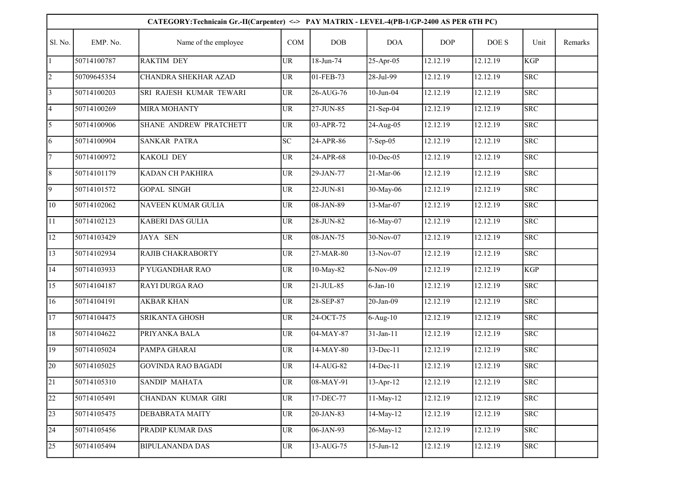| CATEGORY: Technicain Gr.-II(Carpenter) <-> PAY MATRIX - LEVEL-4(PB-1/GP-2400 AS PER 6TH PC) |             |                           |           |               |               |            |          |                         |         |  |  |
|---------------------------------------------------------------------------------------------|-------------|---------------------------|-----------|---------------|---------------|------------|----------|-------------------------|---------|--|--|
| Sl. No.                                                                                     | EMP. No.    | Name of the employee      | COM       | DOB           | <b>DOA</b>    | <b>DOP</b> | DOE S    | Unit                    | Remarks |  |  |
|                                                                                             | 50714100787 | <b>RAKTIM DEY</b>         | UR        | 18-Jun-74     | 25-Apr-05     | 12.12.19   | 12.12.19 | <b>KGP</b>              |         |  |  |
| $\overline{2}$                                                                              | 50709645354 | CHANDRA SHEKHAR AZAD      | UR        | 01-FEB-73     | 28-Jul-99     | 12.12.19   | 12.12.19 | <b>SRC</b>              |         |  |  |
| $\overline{3}$                                                                              | 50714100203 | SRI RAJESH KUMAR TEWARI   | <b>UR</b> | 26-AUG-76     | $10$ -Jun-04  | 12.12.19   | 12.12.19 | <b>SRC</b>              |         |  |  |
| $\vert 4 \vert$                                                                             | 50714100269 | <b>MIRA MOHANTY</b>       | UR        | 27-JUN-85     | $21-Sep-04$   | 12.12.19   | 12.12.19 | <b>SRC</b>              |         |  |  |
| $\overline{5}$                                                                              | 50714100906 | SHANE ANDREW PRATCHETT    | UR        | 03-APR-72     | $24-Aug-05$   | 12.12.19   | 12.12.19 | <b>SRC</b>              |         |  |  |
| 6                                                                                           | 50714100904 | <b>SANKAR PATRA</b>       | SC        | 24-APR-86     | 7-Sep-05      | 12.12.19   | 12.12.19 | <b>SRC</b>              |         |  |  |
| 7                                                                                           | 50714100972 | <b>KAKOLI DEY</b>         | UR        | 24-APR-68     | $10$ -Dec-05  | 12.12.19   | 12.12.19 | SRC                     |         |  |  |
| 8                                                                                           | 50714101179 | KADAN CH PAKHIRA          | UR        | 29-JAN-77     | 21-Mar-06     | 12.12.19   | 12.12.19 | <b>SRC</b>              |         |  |  |
| $\overline{9}$                                                                              | 50714101572 | <b>GOPAL SINGH</b>        | UR        | $22 - JUN-81$ | 30-May-06     | 12.12.19   | 12.12.19 | <b>SRC</b>              |         |  |  |
| 10                                                                                          | 50714102062 | NAVEEN KUMAR GULIA        | UR        | 08-JAN-89     | 13-Mar-07     | 12.12.19   | 12.12.19 | <b>SRC</b>              |         |  |  |
| <sup>11</sup>                                                                               | 50714102123 | <b>KABERI DAS GULIA</b>   | UR        | $28-JUN-82$   | 16-May-07     | 12.12.19   | 12.12.19 | <b>SRC</b>              |         |  |  |
| 12                                                                                          | 50714103429 | <b>JAYA SEN</b>           | UR        | 08-JAN-75     | $30-Nov-07$   | 12.12.19   | 12.12.19 | <b>SRC</b>              |         |  |  |
| 13                                                                                          | 50714102934 | RAJIB CHAKRABORTY         | <b>UR</b> | 27-MAR-80     | 13-Nov-07     | 12.12.19   | 12.12.19 | <b>SRC</b>              |         |  |  |
| 14                                                                                          | 50714103933 | P YUGANDHAR RAO           | <b>UR</b> | 10-May-82     | $6-Nov-09$    | 12.12.19   | 12.12.19 | <b>KGP</b>              |         |  |  |
| 15                                                                                          | 50714104187 | RAYI DURGA RAO            | <b>UR</b> | $21 - JUL-85$ | $6$ -Jan-10   | 12.12.19   | 12.12.19 | <b>SRC</b>              |         |  |  |
| 16                                                                                          | 50714104191 | <b>AKBAR KHAN</b>         | UR        | 28-SEP-87     | 20-Jan-09     | 12.12.19   | 12.12.19 | $\overline{\text{SRC}}$ |         |  |  |
| 17                                                                                          | 50714104475 | <b>SRIKANTA GHOSH</b>     | <b>UR</b> | 24-OCT-75     | $6-Aug-10$    | 12.12.19   | 12.12.19 | <b>SRC</b>              |         |  |  |
| $18\,$                                                                                      | 50714104622 | PRIYANKA BALA             | <b>UR</b> | 04-MAY-87     | $31-Jan-11$   | 12.12.19   | 12.12.19 | <b>SRC</b>              |         |  |  |
| 19                                                                                          | 50714105024 | PAMPA GHARAI              | UR        | 14-MAY-80     | $13 - Dec-11$ | 12.12.19   | 12.12.19 | <b>SRC</b>              |         |  |  |
| 20                                                                                          | 50714105025 | <b>GOVINDA RAO BAGADI</b> | UR        | 14-AUG-82     | $14 - Dec-11$ | 12.12.19   | 12.12.19 | <b>SRC</b>              |         |  |  |
| 21                                                                                          | 50714105310 | SANDIP MAHATA             | UR        | $08-MAY-91$   | $13-Apr-12$   | 12.12.19   | 12.12.19 | <b>SRC</b>              |         |  |  |
| $ 22\rangle$                                                                                | 50714105491 | CHANDAN KUMAR GIRI        | UR        | 17-DEC-77     | 11-May-12     | 12.12.19   | 12.12.19 | <b>SRC</b>              |         |  |  |
| $ 23\rangle$                                                                                | 50714105475 | DEBABRATA MAITY           | UR        | $20$ -JAN-83  | 14-May-12     | 12.12.19   | 12.12.19 | <b>SRC</b>              |         |  |  |
| 24                                                                                          | 50714105456 | PRADIP KUMAR DAS          | UR        | 06-JAN-93     | 26-May-12     | 12.12.19   | 12.12.19 | <b>SRC</b>              |         |  |  |
| 25                                                                                          | 50714105494 | <b>BIPULANANDA DAS</b>    | UR        | 13-AUG-75     | $15 - Jun-12$ | 12.12.19   | 12.12.19 | <b>SRC</b>              |         |  |  |